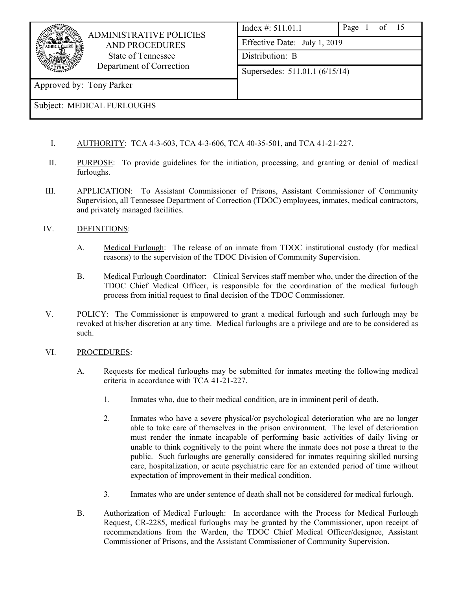

 ADMINISTRATIVE POLICIES AND PROCEDURES State of Tennessee Department of Correction

| Index #: 511.01.1              | Page 1 of 15 |  |  |  |  |
|--------------------------------|--------------|--|--|--|--|
| Effective Date: July 1, 2019   |              |  |  |  |  |
| Distribution: B                |              |  |  |  |  |
| Supersedes: 511.01.1 (6/15/14) |              |  |  |  |  |
|                                |              |  |  |  |  |

Approved by: Tony Parker

# Subject: MEDICAL FURLOUGHS

- I. AUTHORITY: TCA 4-3-603, TCA 4-3-606, TCA 40-35-501, and TCA 41-21-227.
- II. PURPOSE: To provide guidelines for the initiation, processing, and granting or denial of medical furloughs.
- III. APPLICATION: To Assistant Commissioner of Prisons, Assistant Commissioner of Community Supervision, all Tennessee Department of Correction (TDOC) employees, inmates, medical contractors, and privately managed facilities.

## IV. DEFINITIONS:

- A. Medical Furlough: The release of an inmate from TDOC institutional custody (for medical reasons) to the supervision of the TDOC Division of Community Supervision.
- B. Medical Furlough Coordinator: Clinical Services staff member who, under the direction of the TDOC Chief Medical Officer, is responsible for the coordination of the medical furlough process from initial request to final decision of the TDOC Commissioner.
- V. POLICY: The Commissioner is empowered to grant a medical furlough and such furlough may be revoked at his/her discretion at any time. Medical furloughs are a privilege and are to be considered as such.

### VI. PROCEDURES:

- A. Requests for medical furloughs may be submitted for inmates meeting the following medical criteria in accordance with TCA 41-21-227.
	- 1. Inmates who, due to their medical condition, are in imminent peril of death.
	- 2. Inmates who have a severe physical/or psychological deterioration who are no longer able to take care of themselves in the prison environment. The level of deterioration must render the inmate incapable of performing basic activities of daily living or unable to think cognitively to the point where the inmate does not pose a threat to the public. Such furloughs are generally considered for inmates requiring skilled nursing care, hospitalization, or acute psychiatric care for an extended period of time without expectation of improvement in their medical condition.
	- 3. Inmates who are under sentence of death shall not be considered for medical furlough.
- B. Authorization of Medical Furlough: In accordance with the Process for Medical Furlough Request, CR-2285, medical furloughs may be granted by the Commissioner, upon receipt of recommendations from the Warden, the TDOC Chief Medical Officer/designee, Assistant Commissioner of Prisons, and the Assistant Commissioner of Community Supervision.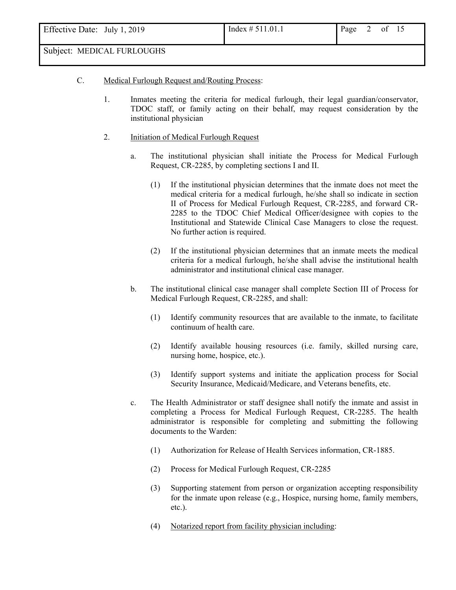## C. Medical Furlough Request and/Routing Process:

- 1. Inmates meeting the criteria for medical furlough, their legal guardian/conservator, TDOC staff, or family acting on their behalf, may request consideration by the institutional physician
- 2. Initiation of Medical Furlough Request
	- a. The institutional physician shall initiate the Process for Medical Furlough Request, CR-2285, by completing sections I and II.
		- (1) If the institutional physician determines that the inmate does not meet the medical criteria for a medical furlough, he/she shall so indicate in section II of Process for Medical Furlough Request, CR-2285, and forward CR-2285 to the TDOC Chief Medical Officer/designee with copies to the Institutional and Statewide Clinical Case Managers to close the request. No further action is required.
		- (2) If the institutional physician determines that an inmate meets the medical criteria for a medical furlough, he/she shall advise the institutional health administrator and institutional clinical case manager.
	- b. The institutional clinical case manager shall complete Section III of Process for Medical Furlough Request, CR-2285, and shall:
		- (1) Identify community resources that are available to the inmate, to facilitate continuum of health care.
		- (2) Identify available housing resources (i.e. family, skilled nursing care, nursing home, hospice, etc.).
		- (3) Identify support systems and initiate the application process for Social Security Insurance, Medicaid/Medicare, and Veterans benefits, etc.
	- c. The Health Administrator or staff designee shall notify the inmate and assist in completing a Process for Medical Furlough Request, CR-2285. The health administrator is responsible for completing and submitting the following documents to the Warden:
		- (1) Authorization for Release of Health Services information, CR-1885.
		- (2) Process for Medical Furlough Request, CR-2285
		- (3) Supporting statement from person or organization accepting responsibility for the inmate upon release (e.g., Hospice, nursing home, family members, etc.).
		- (4) Notarized report from facility physician including: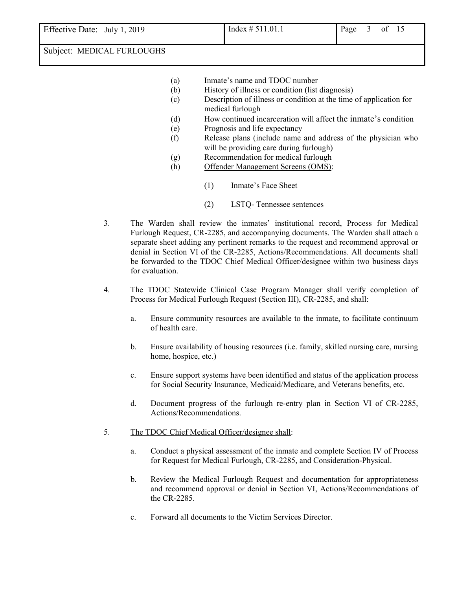Effective Date: July 1, 2019 Index  $\# 511.01.1$  Page 3 of 15

- (a) Inmate's name and TDOC number
- (b) History of illness or condition (list diagnosis)
- (c) Description of illness or condition at the time of application for medical furlough
- (d) How continued incarceration will affect the inmate's condition
- (e) Prognosis and life expectancy
- (f) Release plans (include name and address of the physician who will be providing care during furlough)
- (g) Recommendation for medical furlough
- (h) Offender Management Screens (OMS):
	- (1) Inmate's Face Sheet
	- (2) LSTQ- Tennessee sentences
- 3. The Warden shall review the inmates' institutional record, Process for Medical Furlough Request, CR-2285, and accompanying documents. The Warden shall attach a separate sheet adding any pertinent remarks to the request and recommend approval or denial in Section VI of the CR-2285, Actions/Recommendations. All documents shall be forwarded to the TDOC Chief Medical Officer/designee within two business days for evaluation.
- 4. The TDOC Statewide Clinical Case Program Manager shall verify completion of Process for Medical Furlough Request (Section III), CR-2285, and shall:
	- a. Ensure community resources are available to the inmate, to facilitate continuum of health care.
	- b. Ensure availability of housing resources (i.e. family, skilled nursing care, nursing home, hospice, etc.)
	- c. Ensure support systems have been identified and status of the application process for Social Security Insurance, Medicaid/Medicare, and Veterans benefits, etc.
	- d. Document progress of the furlough re-entry plan in Section VI of CR-2285, Actions/Recommendations.
- 5. The TDOC Chief Medical Officer/designee shall:
	- a. Conduct a physical assessment of the inmate and complete Section IV of Process for Request for Medical Furlough, CR-2285, and Consideration-Physical.
	- b. Review the Medical Furlough Request and documentation for appropriateness and recommend approval or denial in Section VI, Actions/Recommendations of the CR-2285.
	- c. Forward all documents to the Victim Services Director.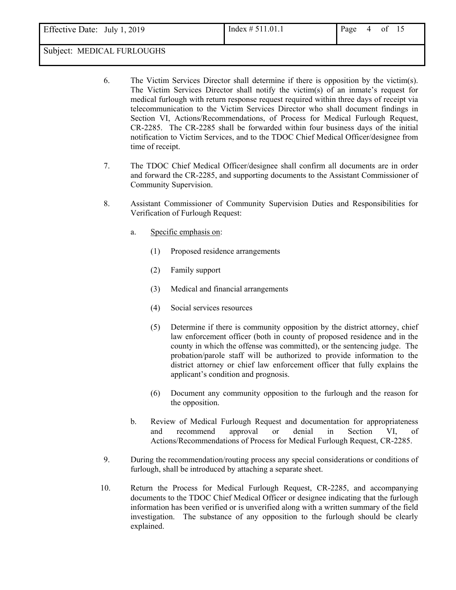Effective Date: July 1, 2019 Index  $\# 511.01.1$  Page 4 of 15

- 6. The Victim Services Director shall determine if there is opposition by the victim(s). The Victim Services Director shall notify the victim(s) of an inmate's request for medical furlough with return response request required within three days of receipt via telecommunication to the Victim Services Director who shall document findings in Section VI, Actions/Recommendations, of Process for Medical Furlough Request, CR-2285. The CR-2285 shall be forwarded within four business days of the initial notification to Victim Services, and to the TDOC Chief Medical Officer/designee from time of receipt.
- 7. The TDOC Chief Medical Officer/designee shall confirm all documents are in order and forward the CR-2285, and supporting documents to the Assistant Commissioner of Community Supervision.
- 8. Assistant Commissioner of Community Supervision Duties and Responsibilities for Verification of Furlough Request:
	- a. Specific emphasis on:
		- (1) Proposed residence arrangements
		- (2) Family support
		- (3) Medical and financial arrangements
		- (4) Social services resources
		- (5) Determine if there is community opposition by the district attorney, chief law enforcement officer (both in county of proposed residence and in the county in which the offense was committed), or the sentencing judge. The probation/parole staff will be authorized to provide information to the district attorney or chief law enforcement officer that fully explains the applicant's condition and prognosis.
		- (6) Document any community opposition to the furlough and the reason for the opposition.
	- b. Review of Medical Furlough Request and documentation for appropriateness and recommend approval or denial in Section VI, of Actions/Recommendations of Process for Medical Furlough Request, CR-2285.
- 9. During the recommendation/routing process any special considerations or conditions of furlough, shall be introduced by attaching a separate sheet.
- 10. Return the Process for Medical Furlough Request, CR-2285, and accompanying documents to the TDOC Chief Medical Officer or designee indicating that the furlough information has been verified or is unverified along with a written summary of the field investigation. The substance of any opposition to the furlough should be clearly explained.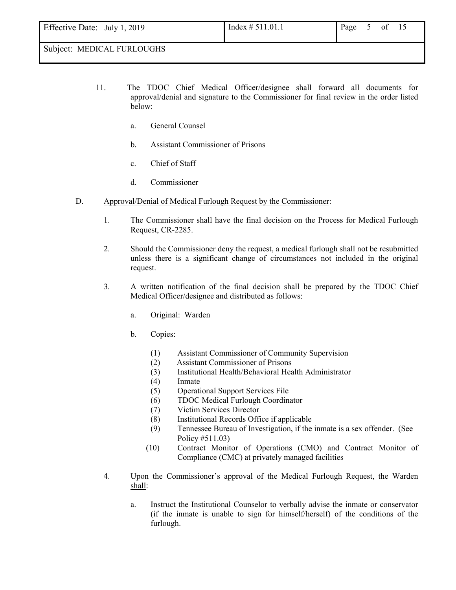- 11. The TDOC Chief Medical Officer/designee shall forward all documents for approval/denial and signature to the Commissioner for final review in the order listed below:
	- a. General Counsel
	- b. Assistant Commissioner of Prisons
	- c. Chief of Staff
	- d. Commissioner
- D. Approval/Denial of Medical Furlough Request by the Commissioner:
	- 1. The Commissioner shall have the final decision on the Process for Medical Furlough Request, CR-2285.
	- 2. Should the Commissioner deny the request, a medical furlough shall not be resubmitted unless there is a significant change of circumstances not included in the original request.
	- 3. A written notification of the final decision shall be prepared by the TDOC Chief Medical Officer/designee and distributed as follows:
		- a. Original: Warden
		- b. Copies:
			- (1) Assistant Commissioner of Community Supervision
			- (2) Assistant Commissioner of Prisons
			- (3) Institutional Health/Behavioral Health Administrator
			- (4) Inmate
			- (5) Operational Support Services File
			- (6) TDOC Medical Furlough Coordinator
			- (7) Victim Services Director
			- (8) Institutional Records Office if applicable
			- (9) Tennessee Bureau of Investigation, if the inmate is a sex offender. (See Policy #511.03)
			- (10) Contract Monitor of Operations (CMO) and Contract Monitor of Compliance (CMC) at privately managed facilities
	- 4. Upon the Commissioner's approval of the Medical Furlough Request, the Warden shall:
		- a. Instruct the Institutional Counselor to verbally advise the inmate or conservator (if the inmate is unable to sign for himself/herself) of the conditions of the furlough.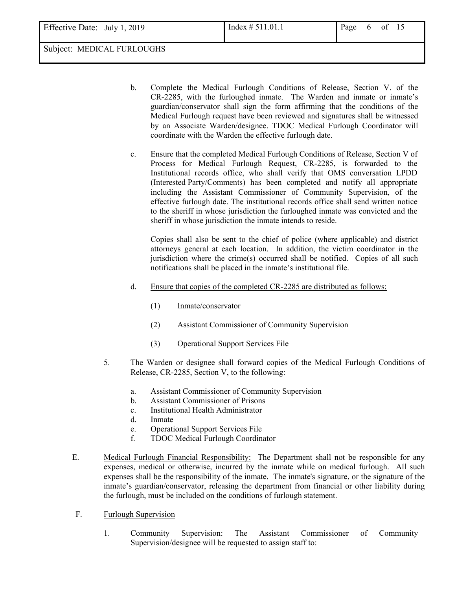- b. Complete the Medical Furlough Conditions of Release, Section V. of the CR-2285, with the furloughed inmate. The Warden and inmate or inmate's guardian/conservator shall sign the form affirming that the conditions of the Medical Furlough request have been reviewed and signatures shall be witnessed by an Associate Warden/designee. TDOC Medical Furlough Coordinator will coordinate with the Warden the effective furlough date.
- c. Ensure that the completed Medical Furlough Conditions of Release, Section V of Process for Medical Furlough Request, CR-2285, is forwarded to the Institutional records office, who shall verify that OMS conversation LPDD (Interested Party/Comments) has been completed and notify all appropriate including the Assistant Commissioner of Community Supervision, of the effective furlough date. The institutional records office shall send written notice to the sheriff in whose jurisdiction the furloughed inmate was convicted and the sheriff in whose jurisdiction the inmate intends to reside.

Copies shall also be sent to the chief of police (where applicable) and district attorneys general at each location. In addition, the victim coordinator in the jurisdiction where the crime(s) occurred shall be notified. Copies of all such notifications shall be placed in the inmate's institutional file.

- d. Ensure that copies of the completed CR-2285 are distributed as follows:
	- (1) Inmate/conservator
	- (2) Assistant Commissioner of Community Supervision
	- (3) Operational Support Services File
- 5. The Warden or designee shall forward copies of the Medical Furlough Conditions of Release, CR-2285, Section V, to the following:
	- a. Assistant Commissioner of Community Supervision
	- b. Assistant Commissioner of Prisons
	- c. Institutional Health Administrator
	- d. Inmate
	- e. Operational Support Services File
	- f. TDOC Medical Furlough Coordinator
- E. Medical Furlough Financial Responsibility: The Department shall not be responsible for any expenses, medical or otherwise, incurred by the inmate while on medical furlough. All such expenses shall be the responsibility of the inmate. The inmate's signature, or the signature of the inmate's guardian/conservator, releasing the department from financial or other liability during the furlough, must be included on the conditions of furlough statement.
- F. Furlough Supervision
	- 1. Community Supervision: The Assistant Commissioner of Community Supervision/designee will be requested to assign staff to: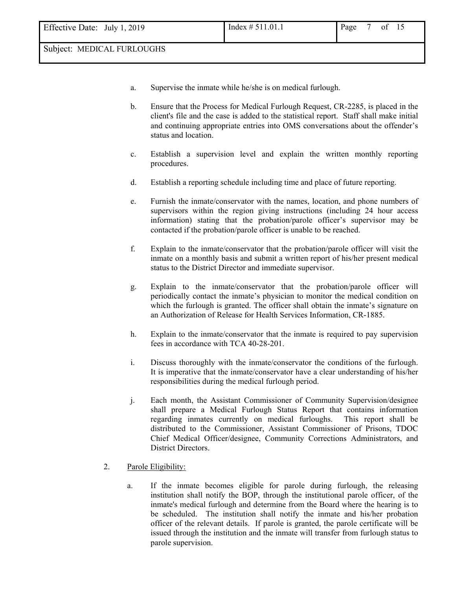- a. Supervise the inmate while he/she is on medical furlough.
- b. Ensure that the Process for Medical Furlough Request, CR-2285, is placed in the client's file and the case is added to the statistical report. Staff shall make initial and continuing appropriate entries into OMS conversations about the offender's status and location.
- c. Establish a supervision level and explain the written monthly reporting procedures.
- d. Establish a reporting schedule including time and place of future reporting.
- e. Furnish the inmate/conservator with the names, location, and phone numbers of supervisors within the region giving instructions (including 24 hour access information) stating that the probation/parole officer's supervisor may be contacted if the probation/parole officer is unable to be reached.
- f. Explain to the inmate/conservator that the probation/parole officer will visit the inmate on a monthly basis and submit a written report of his/her present medical status to the District Director and immediate supervisor.
- g. Explain to the inmate/conservator that the probation/parole officer will periodically contact the inmate's physician to monitor the medical condition on which the furlough is granted. The officer shall obtain the inmate's signature on an Authorization of Release for Health Services Information, CR-1885.
- h. Explain to the inmate/conservator that the inmate is required to pay supervision fees in accordance with TCA 40-28-201.
- i. Discuss thoroughly with the inmate/conservator the conditions of the furlough. It is imperative that the inmate/conservator have a clear understanding of his/her responsibilities during the medical furlough period.
- j. Each month, the Assistant Commissioner of Community Supervision/designee shall prepare a Medical Furlough Status Report that contains information regarding inmates currently on medical furloughs. This report shall be distributed to the Commissioner, Assistant Commissioner of Prisons, TDOC Chief Medical Officer/designee, Community Corrections Administrators, and District Directors.
- 2. Parole Eligibility:
	- a. If the inmate becomes eligible for parole during furlough, the releasing institution shall notify the BOP, through the institutional parole officer, of the inmate's medical furlough and determine from the Board where the hearing is to be scheduled. The institution shall notify the inmate and his/her probation officer of the relevant details. If parole is granted, the parole certificate will be issued through the institution and the inmate will transfer from furlough status to parole supervision.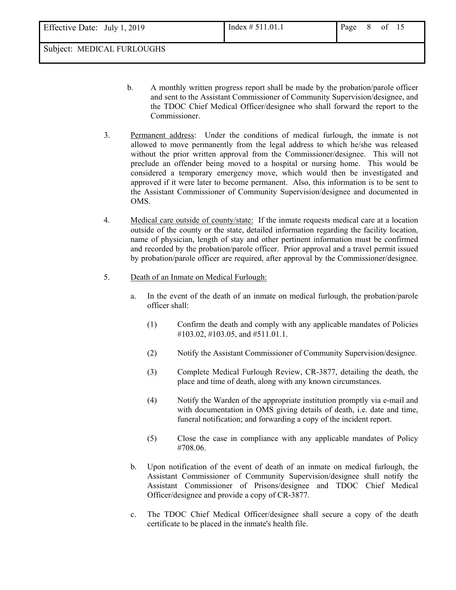- b. A monthly written progress report shall be made by the probation/parole officer and sent to the Assistant Commissioner of Community Supervision/designee, and the TDOC Chief Medical Officer/designee who shall forward the report to the Commissioner.
- 3. Permanent address: Under the conditions of medical furlough, the inmate is not allowed to move permanently from the legal address to which he/she was released without the prior written approval from the Commissioner/designee. This will not preclude an offender being moved to a hospital or nursing home. This would be considered a temporary emergency move, which would then be investigated and approved if it were later to become permanent. Also, this information is to be sent to the Assistant Commissioner of Community Supervision/designee and documented in OMS.
- 4. Medical care outside of county/state: If the inmate requests medical care at a location outside of the county or the state, detailed information regarding the facility location, name of physician, length of stay and other pertinent information must be confirmed and recorded by the probation/parole officer. Prior approval and a travel permit issued by probation/parole officer are required, after approval by the Commissioner/designee.
- 5. Death of an Inmate on Medical Furlough:
	- a. In the event of the death of an inmate on medical furlough, the probation/parole officer shall:
		- (1) Confirm the death and comply with any applicable mandates of Policies #103.02, #103.05, and #511.01.1.
		- (2) Notify the Assistant Commissioner of Community Supervision/designee.
		- (3) Complete Medical Furlough Review, CR-3877, detailing the death, the place and time of death, along with any known circumstances.
		- (4) Notify the Warden of the appropriate institution promptly via e-mail and with documentation in OMS giving details of death, i.e. date and time, funeral notification; and forwarding a copy of the incident report.
		- (5) Close the case in compliance with any applicable mandates of Policy #708.06.
	- b. Upon notification of the event of death of an inmate on medical furlough, the Assistant Commissioner of Community Supervision/designee shall notify the Assistant Commissioner of Prisons/designee and TDOC Chief Medical Officer/designee and provide a copy of CR-3877.
	- c. The TDOC Chief Medical Officer/designee shall secure a copy of the death certificate to be placed in the inmate's health file.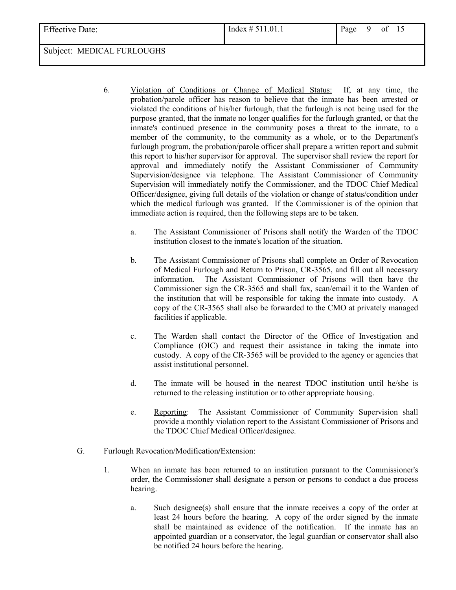- 6. Violation of Conditions or Change of Medical Status: If, at any time, the probation/parole officer has reason to believe that the inmate has been arrested or violated the conditions of his/her furlough, that the furlough is not being used for the purpose granted, that the inmate no longer qualifies for the furlough granted, or that the inmate's continued presence in the community poses a threat to the inmate, to a member of the community, to the community as a whole, or to the Department's furlough program, the probation/parole officer shall prepare a written report and submit this report to his/her supervisor for approval. The supervisor shall review the report for approval and immediately notify the Assistant Commissioner of Community Supervision/designee via telephone. The Assistant Commissioner of Community Supervision will immediately notify the Commissioner, and the TDOC Chief Medical Officer/designee, giving full details of the violation or change of status/condition under which the medical furlough was granted. If the Commissioner is of the opinion that immediate action is required, then the following steps are to be taken.
	- a. The Assistant Commissioner of Prisons shall notify the Warden of the TDOC institution closest to the inmate's location of the situation.
	- b. The Assistant Commissioner of Prisons shall complete an Order of Revocation of Medical Furlough and Return to Prison, CR-3565, and fill out all necessary information. The Assistant Commissioner of Prisons will then have the Commissioner sign the CR-3565 and shall fax, scan/email it to the Warden of the institution that will be responsible for taking the inmate into custody. A copy of the CR-3565 shall also be forwarded to the CMO at privately managed facilities if applicable.
	- c. The Warden shall contact the Director of the Office of Investigation and Compliance (OIC) and request their assistance in taking the inmate into custody. A copy of the CR-3565 will be provided to the agency or agencies that assist institutional personnel.
	- d. The inmate will be housed in the nearest TDOC institution until he/she is returned to the releasing institution or to other appropriate housing.
	- e. Reporting: The Assistant Commissioner of Community Supervision shall provide a monthly violation report to the Assistant Commissioner of Prisons and the TDOC Chief Medical Officer/designee.

### G. Furlough Revocation/Modification**/**Extension:

- 1. When an inmate has been returned to an institution pursuant to the Commissioner's order, the Commissioner shall designate a person or persons to conduct a due process hearing.
	- a. Such designee(s) shall ensure that the inmate receives a copy of the order at least 24 hours before the hearing. A copy of the order signed by the inmate shall be maintained as evidence of the notification. If the inmate has an appointed guardian or a conservator, the legal guardian or conservator shall also be notified 24 hours before the hearing.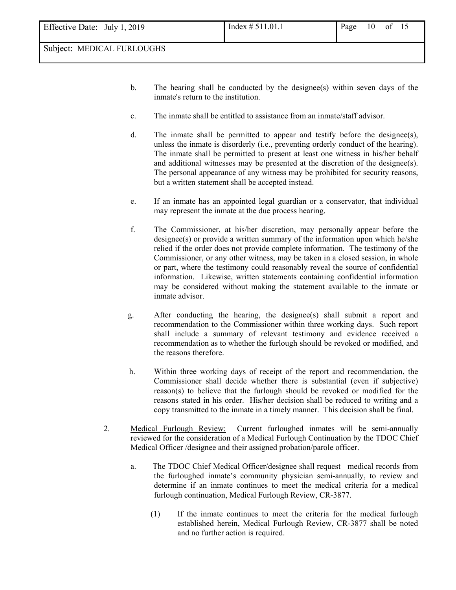- b. The hearing shall be conducted by the designee(s) within seven days of the inmate's return to the institution.
- c. The inmate shall be entitled to assistance from an inmate/staff advisor.
- d. The inmate shall be permitted to appear and testify before the designee(s), unless the inmate is disorderly (i.e., preventing orderly conduct of the hearing). The inmate shall be permitted to present at least one witness in his/her behalf and additional witnesses may be presented at the discretion of the designee(s). The personal appearance of any witness may be prohibited for security reasons, but a written statement shall be accepted instead.
- e. If an inmate has an appointed legal guardian or a conservator, that individual may represent the inmate at the due process hearing.
- f. The Commissioner, at his/her discretion, may personally appear before the designee(s) or provide a written summary of the information upon which he/she relied if the order does not provide complete information. The testimony of the Commissioner, or any other witness, may be taken in a closed session, in whole or part, where the testimony could reasonably reveal the source of confidential information. Likewise, written statements containing confidential information may be considered without making the statement available to the inmate or inmate advisor.
- g. After conducting the hearing, the designee(s) shall submit a report and recommendation to the Commissioner within three working days. Such report shall include a summary of relevant testimony and evidence received a recommendation as to whether the furlough should be revoked or modified, and the reasons therefore.
- h. Within three working days of receipt of the report and recommendation, the Commissioner shall decide whether there is substantial (even if subjective) reason(s) to believe that the furlough should be revoked or modified for the reasons stated in his order. His/her decision shall be reduced to writing and a copy transmitted to the inmate in a timely manner. This decision shall be final.
- 2. Medical Furlough Review: Current furloughed inmates will be semi-annually reviewed for the consideration of a Medical Furlough Continuation by the TDOC Chief Medical Officer /designee and their assigned probation/parole officer.
	- a. The TDOC Chief Medical Officer/designee shall request medical records from the furloughed inmate's community physician semi-annually, to review and determine if an inmate continues to meet the medical criteria for a medical furlough continuation, Medical Furlough Review, CR-3877*.*
		- (1) If the inmate continues to meet the criteria for the medical furlough established herein, Medical Furlough Review, CR-3877 shall be noted and no further action is required.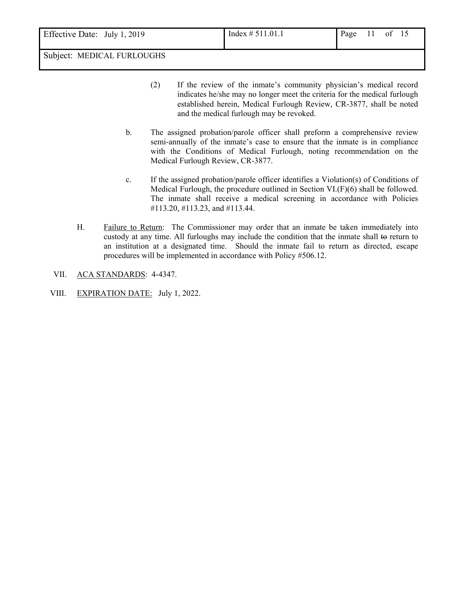- (2) If the review of the inmate's community physician's medical record indicates he/she may no longer meet the criteria for the medical furlough established herein, Medical Furlough Review, CR-3877, shall be noted and the medical furlough may be revoked.
- b. The assigned probation/parole officer shall preform a comprehensive review semi-annually of the inmate's case to ensure that the inmate is in compliance with the Conditions of Medical Furlough, noting recommendation on the Medical Furlough Review, CR-3877.
- c. If the assigned probation/parole officer identifies a Violation(s) of Conditions of Medical Furlough, the procedure outlined in Section VI.(F)(6) shall be followed. The inmate shall receive a medical screening in accordance with Policies #113.20, #113.23, and #113.44.
- H. Failure to Return: The Commissioner may order that an inmate be taken immediately into custody at any time. All furloughs may include the condition that the inmate shall to return to an institution at a designated time. Should the inmate fail to return as directed, escape procedures will be implemented in accordance with Policy #506.12.
- VII. ACA STANDARDS: 4-4347.
- VIII. EXPIRATION DATE: July 1, 2022.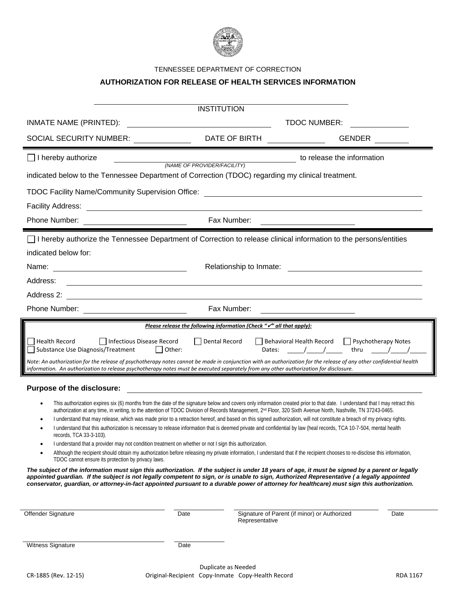

#### TENNESSEE DEPARTMENT OF CORRECTION

### **AUTHORIZATION FOR RELEASE OF HEALTH SERVICES INFORMATION**

| <b>INSTITUTION</b>                                                                                                                                                                                                                                                                                                                                                                                                                        |                                                                                                                                                                                                                                                                                                                                                    |                                                                                   |                                                    |                            |  |  |  |
|-------------------------------------------------------------------------------------------------------------------------------------------------------------------------------------------------------------------------------------------------------------------------------------------------------------------------------------------------------------------------------------------------------------------------------------------|----------------------------------------------------------------------------------------------------------------------------------------------------------------------------------------------------------------------------------------------------------------------------------------------------------------------------------------------------|-----------------------------------------------------------------------------------|----------------------------------------------------|----------------------------|--|--|--|
| <b>TDOC NUMBER:</b><br>INMATE NAME (PRINTED):                                                                                                                                                                                                                                                                                                                                                                                             |                                                                                                                                                                                                                                                                                                                                                    |                                                                                   |                                                    |                            |  |  |  |
| <b>SOCIAL SECURITY NUMBER:</b>                                                                                                                                                                                                                                                                                                                                                                                                            | DATE OF BIRTH                                                                                                                                                                                                                                                                                                                                      |                                                                                   | <b>GENDER</b>                                      |                            |  |  |  |
| $\Box$ I hereby authorize                                                                                                                                                                                                                                                                                                                                                                                                                 | to release the information<br>(NAME OF PROVIDER/FACILITY)                                                                                                                                                                                                                                                                                          |                                                                                   |                                                    |                            |  |  |  |
| indicated below to the Tennessee Department of Correction (TDOC) regarding my clinical treatment.                                                                                                                                                                                                                                                                                                                                         |                                                                                                                                                                                                                                                                                                                                                    |                                                                                   |                                                    |                            |  |  |  |
| <b>TDOC Facility Name/Community Supervision Office:</b><br><u> 1980 - Jan Samuel Barbara, margaret e populazion del control del control del control del control de la provi</u>                                                                                                                                                                                                                                                           |                                                                                                                                                                                                                                                                                                                                                    |                                                                                   |                                                    |                            |  |  |  |
| <b>Facility Address:</b><br><u> 1980 - Jan Stein Stein Stein Stein Stein Stein Stein Stein Stein Stein Stein Stein Stein Stein Stein Stein S</u>                                                                                                                                                                                                                                                                                          |                                                                                                                                                                                                                                                                                                                                                    |                                                                                   |                                                    |                            |  |  |  |
| Phone Number:                                                                                                                                                                                                                                                                                                                                                                                                                             | Fax Number:                                                                                                                                                                                                                                                                                                                                        |                                                                                   |                                                    |                            |  |  |  |
| □ I hereby authorize the Tennessee Department of Correction to release clinical information to the persons/entities                                                                                                                                                                                                                                                                                                                       |                                                                                                                                                                                                                                                                                                                                                    |                                                                                   |                                                    |                            |  |  |  |
| indicated below for:                                                                                                                                                                                                                                                                                                                                                                                                                      |                                                                                                                                                                                                                                                                                                                                                    |                                                                                   |                                                    |                            |  |  |  |
| Name:                                                                                                                                                                                                                                                                                                                                                                                                                                     |                                                                                                                                                                                                                                                                                                                                                    | Relationship to Inmate:                                                           | <u> 1989 - John Stein, Amerikaansk politiker (</u> |                            |  |  |  |
| Address:                                                                                                                                                                                                                                                                                                                                                                                                                                  |                                                                                                                                                                                                                                                                                                                                                    |                                                                                   |                                                    |                            |  |  |  |
| Address 2:                                                                                                                                                                                                                                                                                                                                                                                                                                |                                                                                                                                                                                                                                                                                                                                                    |                                                                                   |                                                    |                            |  |  |  |
| Phone Number:                                                                                                                                                                                                                                                                                                                                                                                                                             | Fax Number:                                                                                                                                                                                                                                                                                                                                        |                                                                                   |                                                    |                            |  |  |  |
|                                                                                                                                                                                                                                                                                                                                                                                                                                           |                                                                                                                                                                                                                                                                                                                                                    | Please release the following information (Check " $\checkmark$ " all that apply): |                                                    |                            |  |  |  |
| Infectious Disease Record<br><b>Health Record</b><br>Substance Use Diagnosis/Treatment<br>    Other:                                                                                                                                                                                                                                                                                                                                      | Dental Record                                                                                                                                                                                                                                                                                                                                      | Behavioral Health Record<br>Dates:                                                | thru                                               | $\Box$ Psychotherapy Notes |  |  |  |
| Note: An authorization for the release of psychotherapy notes cannot be made in conjunction with an authorization for the release of any other confidential health<br>information. An authorization to release psychotherapy notes must be executed separately from any other authorization for disclosure.                                                                                                                               |                                                                                                                                                                                                                                                                                                                                                    |                                                                                   |                                                    |                            |  |  |  |
| Purpose of the disclosure:                                                                                                                                                                                                                                                                                                                                                                                                                |                                                                                                                                                                                                                                                                                                                                                    |                                                                                   |                                                    |                            |  |  |  |
| This authorization expires six (6) months from the date of the signature below and covers only information created prior to that date. I understand that I may retract this<br>٠                                                                                                                                                                                                                                                          |                                                                                                                                                                                                                                                                                                                                                    |                                                                                   |                                                    |                            |  |  |  |
|                                                                                                                                                                                                                                                                                                                                                                                                                                           | authorization at any time, in writing, to the attention of TDOC Division of Records Management, 2 <sup>nd</sup> Floor, 320 Sixth Avenue North, Nashville, TN 37243-0465.<br>I understand that may release, which was made prior to a retraction hereof, and based on this signed authorization, will not constitute a breach of my privacy rights. |                                                                                   |                                                    |                            |  |  |  |
| I understand that this authorization is necessary to release information that is deemed private and confidential by law (heal records, TCA 10-7-504, mental health<br>records, TCA 33-3-103).                                                                                                                                                                                                                                             |                                                                                                                                                                                                                                                                                                                                                    |                                                                                   |                                                    |                            |  |  |  |
| I understand that a provider may not condition treatment on whether or not I sign this authorization.<br>$\bullet$                                                                                                                                                                                                                                                                                                                        |                                                                                                                                                                                                                                                                                                                                                    |                                                                                   |                                                    |                            |  |  |  |
| Although the recipient should obtain my authorization before releasing my private information, I understand that if the recipient chooses to re-disclose this information,<br>TDOC cannot ensure its protection by privacy laws.                                                                                                                                                                                                          |                                                                                                                                                                                                                                                                                                                                                    |                                                                                   |                                                    |                            |  |  |  |
| The subject of the information must sign this authorization. If the subject is under 18 years of age, it must be signed by a parent or legally<br>appointed guardian. If the subject is not legally competent to sign, or is unable to sign, Authorized Representative (a legally appointed<br>conservator, guardian, or attorney-in-fact appointed pursuant to a durable power of attorney for healthcare) must sign this authorization. |                                                                                                                                                                                                                                                                                                                                                    |                                                                                   |                                                    |                            |  |  |  |
| Offender Signature                                                                                                                                                                                                                                                                                                                                                                                                                        | Date                                                                                                                                                                                                                                                                                                                                               | Signature of Parent (if minor) or Authorized                                      |                                                    | Date                       |  |  |  |
|                                                                                                                                                                                                                                                                                                                                                                                                                                           |                                                                                                                                                                                                                                                                                                                                                    | Representative                                                                    |                                                    |                            |  |  |  |
| Witness Signature                                                                                                                                                                                                                                                                                                                                                                                                                         | Date                                                                                                                                                                                                                                                                                                                                               |                                                                                   |                                                    |                            |  |  |  |
|                                                                                                                                                                                                                                                                                                                                                                                                                                           |                                                                                                                                                                                                                                                                                                                                                    |                                                                                   |                                                    |                            |  |  |  |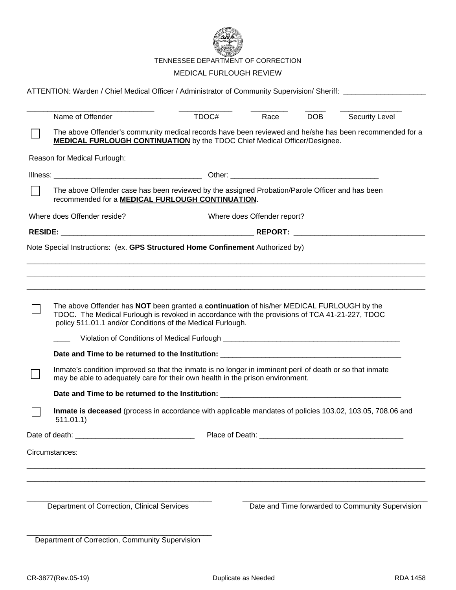

TENNESSEE DEPARTMENT OF CORRECTION

#### MEDICAL FURLOUGH REVIEW

|  | ATTENTION: Warden / Chief Medical Officer / Administrator of Community Supervision/ Sheriff: _________________                                                                                                                                            |       |                             |            |                                                  |
|--|-----------------------------------------------------------------------------------------------------------------------------------------------------------------------------------------------------------------------------------------------------------|-------|-----------------------------|------------|--------------------------------------------------|
|  | Name of Offender                                                                                                                                                                                                                                          | TDOC# | Race                        | <b>DOB</b> | Security Level                                   |
|  | The above Offender's community medical records have been reviewed and he/she has been recommended for a<br><b>MEDICAL FURLOUGH CONTINUATION</b> by the TDOC Chief Medical Officer/Designee.                                                               |       |                             |            |                                                  |
|  | Reason for Medical Furlough:                                                                                                                                                                                                                              |       |                             |            |                                                  |
|  |                                                                                                                                                                                                                                                           |       |                             |            |                                                  |
|  | The above Offender case has been reviewed by the assigned Probation/Parole Officer and has been<br>recommended for a <b>MEDICAL FURLOUGH CONTINUATION</b> .                                                                                               |       |                             |            |                                                  |
|  | Where does Offender reside?                                                                                                                                                                                                                               |       | Where does Offender report? |            |                                                  |
|  |                                                                                                                                                                                                                                                           |       |                             |            |                                                  |
|  | Note Special Instructions: (ex. GPS Structured Home Confinement Authorized by)                                                                                                                                                                            |       |                             |            |                                                  |
|  | The above Offender has NOT been granted a continuation of his/her MEDICAL FURLOUGH by the<br>TDOC. The Medical Furlough is revoked in accordance with the provisions of TCA 41-21-227, TDOC<br>policy 511.01.1 and/or Conditions of the Medical Furlough. |       |                             |            |                                                  |
|  |                                                                                                                                                                                                                                                           |       |                             |            |                                                  |
|  | Inmate's condition improved so that the inmate is no longer in imminent peril of death or so that inmate<br>may be able to adequately care for their own health in the prison environment.                                                                |       |                             |            |                                                  |
|  |                                                                                                                                                                                                                                                           |       |                             |            |                                                  |
|  | Inmate is deceased (process in accordance with applicable mandates of policies 103.02, 103.05, 708.06 and<br>511.01.1)                                                                                                                                    |       |                             |            |                                                  |
|  |                                                                                                                                                                                                                                                           |       |                             |            |                                                  |
|  | Circumstances:                                                                                                                                                                                                                                            |       |                             |            |                                                  |
|  |                                                                                                                                                                                                                                                           |       |                             |            |                                                  |
|  | Department of Correction, Clinical Services                                                                                                                                                                                                               |       |                             |            | Date and Time forwarded to Community Supervision |
|  | Department of Correction, Community Supervision                                                                                                                                                                                                           |       |                             |            |                                                  |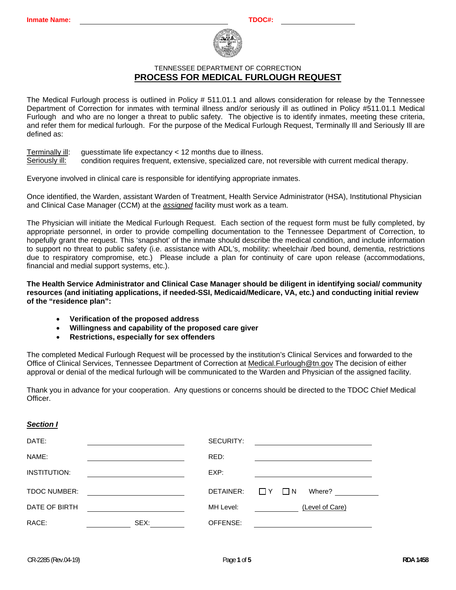

The Medical Furlough process is outlined in Policy # 511.01.1 and allows consideration for release by the Tennessee Department of Correction for inmates with terminal illness and/or seriously ill as outlined in Policy #511.01.1 Medical Furlough and who are no longer a threat to public safety. The objective is to identify inmates, meeting these criteria, and refer them for medical furlough. For the purpose of the Medical Furlough Request, Terminally Ill and Seriously Ill are defined as:

Terminally ill: guesstimate life expectancy < 12 months due to illness. Seriously ill: condition requires frequent, extensive, specialized care, not reversible with current medical therapy.

Everyone involved in clinical care is responsible for identifying appropriate inmates.

Once identified, the Warden, assistant Warden of Treatment, Health Service Administrator (HSA), Institutional Physician and Clinical Case Manager (CCM) at the *assigned* facility must work as a team.

The Physician will initiate the Medical Furlough Request. Each section of the request form must be fully completed, by appropriate personnel, in order to provide compelling documentation to the Tennessee Department of Correction, to hopefully grant the request. This 'snapshot' of the inmate should describe the medical condition, and include information to support no threat to public safety (i.e. assistance with ADL's, mobility: wheelchair /bed bound, dementia, restrictions due to respiratory compromise, etc.) Please include a plan for continuity of care upon release (accommodations, financial and medial support systems, etc.).

**The Health Service Administrator and Clinical Case Manager should be diligent in identifying social/ community resources (and initiating applications, if needed-SSI, Medicaid/Medicare, VA, etc.) and conducting initial review of the "residence plan":** 

- **Verification of the proposed address**
- **Willingness and capability of the proposed care giver**
- **Restrictions, especially for sex offenders**

The completed Medical Furlough Request will be processed by the institution's Clinical Services and forwarded to the Office of Clinical Services, Tennessee Department of Correction at Medical.Furlough@tn.gov The decision of either approval or denial of the medical furlough will be communicated to the Warden and Physician of the assigned facility.

Thank you in advance for your cooperation. Any questions or concerns should be directed to the TDOC Chief Medical Officer.

#### *Section I*

| DATE:               |      | SECURITY:<br><u> 1980 - Jan Samuel Barbara, margaret e</u> n 1980 eta 1980 <mark>- Jan Samuel Barbara, estas estas estas estas estas estas e</mark> |
|---------------------|------|-----------------------------------------------------------------------------------------------------------------------------------------------------|
| NAME:               |      | RED:                                                                                                                                                |
| INSTITUTION:        |      | EXP:                                                                                                                                                |
| <b>TDOC NUMBER:</b> |      | DETAINER:<br>Where?<br>$\Box$ Y<br>$\Box N$                                                                                                         |
| DATE OF BIRTH       |      | MH Level:<br>(Level of Care)                                                                                                                        |
| RACE:               | SEX: | OFFENSE:                                                                                                                                            |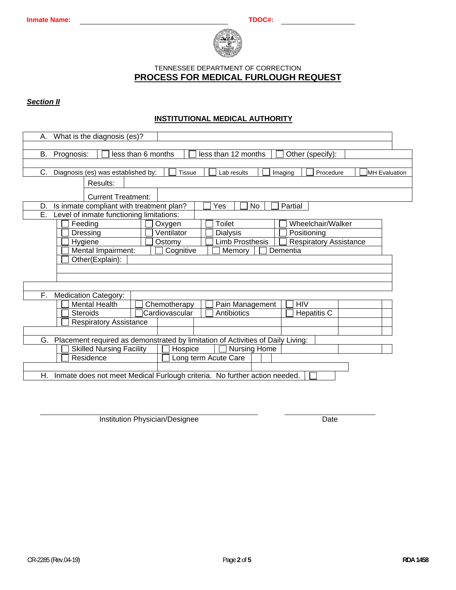

#### *Section II*

## **INSTITUTIONAL MEDICAL AUTHORITY**

| What is the diagnosis (es)?<br>А.                                                                                                    |  |  |  |  |  |
|--------------------------------------------------------------------------------------------------------------------------------------|--|--|--|--|--|
| B.                                                                                                                                   |  |  |  |  |  |
| less than 6 months<br>less than 12 months<br>Prognosis:<br>Other (specify):                                                          |  |  |  |  |  |
| С.<br>Diagnosis (es) was established by:<br><b>Tissue</b><br>Imaging<br>Lab results<br>Procedure<br><b>MH</b> Evaluation<br>Results: |  |  |  |  |  |
| <b>Current Treatment:</b>                                                                                                            |  |  |  |  |  |
| Is inmate compliant with treatment plan?<br><b>No</b><br>Partial<br>Yes<br>D.                                                        |  |  |  |  |  |
| Ē.<br>Level of inmate functioning limitations:                                                                                       |  |  |  |  |  |
| Toilet<br>Wheelchair/Walker<br>Feeding<br>Oxygen                                                                                     |  |  |  |  |  |
| Ventilator<br>Dressing<br><b>Dialysis</b><br>Positioning                                                                             |  |  |  |  |  |
| <b>Limb Prosthesis</b><br><b>Respiratory Assistance</b><br>Hygiene<br>Ostomy                                                         |  |  |  |  |  |
| Mental Impairment:<br>Cognitive<br>Dementia<br>Memory                                                                                |  |  |  |  |  |
| Other(Explain):                                                                                                                      |  |  |  |  |  |
|                                                                                                                                      |  |  |  |  |  |
|                                                                                                                                      |  |  |  |  |  |
| F.,                                                                                                                                  |  |  |  |  |  |
| <b>Medication Category:</b><br><b>Mental Health</b><br><b>HIV</b>                                                                    |  |  |  |  |  |
| Chemotherapy<br>Pain Management<br><b>Hepatitis C</b><br><b>Steroids</b><br>Cardiovascular<br>Antibiotics                            |  |  |  |  |  |
| <b>Respiratory Assistance</b>                                                                                                        |  |  |  |  |  |
|                                                                                                                                      |  |  |  |  |  |
| Placement required as demonstrated by limitation of Activities of Daily Living:<br>G.                                                |  |  |  |  |  |
| <b>Skilled Nursing Facility</b><br><b>Nursing Home</b><br>Hospice                                                                    |  |  |  |  |  |
| Residence<br>Long term Acute Care                                                                                                    |  |  |  |  |  |
|                                                                                                                                      |  |  |  |  |  |
| Inmate does not meet Medical Furlough criteria. No further action needed.<br>Η.                                                      |  |  |  |  |  |
|                                                                                                                                      |  |  |  |  |  |

Institution Physician/Designee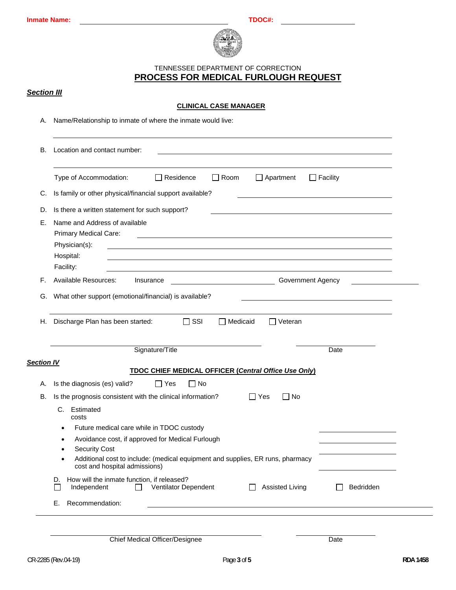

## *Section III*

## **CLINICAL CASE MANAGER**

A. Name/Relationship to inmate of where the inmate would live:

|                                                              | Type of Accommodation:<br>$\Box$ Room<br>$\Box$ Facility<br>Residence<br>$\Box$ Apartment<br>$\perp$                                                                                                                       |  |  |  |
|--------------------------------------------------------------|----------------------------------------------------------------------------------------------------------------------------------------------------------------------------------------------------------------------------|--|--|--|
| C.                                                           | Is family or other physical/financial support available?                                                                                                                                                                   |  |  |  |
| Is there a written statement for such support?<br>D.         |                                                                                                                                                                                                                            |  |  |  |
| Е.                                                           | Name and Address of available<br>Primary Medical Care:<br>Physician(s):<br>Hospital:<br>Facility:                                                                                                                          |  |  |  |
| F.                                                           | Available Resources:<br>Government Agency<br>Insurance                                                                                                                                                                     |  |  |  |
| What other support (emotional/financial) is available?<br>G. |                                                                                                                                                                                                                            |  |  |  |
| Н.                                                           | Discharge Plan has been started:<br>$\Box$ SSI<br>$\Box$ Medicaid<br>$\Box$ Veteran                                                                                                                                        |  |  |  |
| <b>Section IV</b>                                            | Signature/Title<br>Date                                                                                                                                                                                                    |  |  |  |
|                                                              | <b>TDOC CHIEF MEDICAL OFFICER (Central Office Use Only)</b>                                                                                                                                                                |  |  |  |
| А.                                                           | Is the diagnosis (es) valid?<br>$\Box$ Yes<br>$\Box$ No                                                                                                                                                                    |  |  |  |
| В.                                                           | Is the prognosis consistent with the clinical information?<br>$\Box$ Yes<br>No<br>C. Estimated<br>costs<br>Future medical care while in TDOC custody<br>$\bullet$<br>Avoidance cost, if approved for Medical Furlough<br>٠ |  |  |  |
|                                                              | <b>Security Cost</b><br>Additional cost to include: (medical equipment and supplies, ER runs, pharmacy<br>cost and hospital admissions)                                                                                    |  |  |  |
|                                                              | How will the inmate function, if released?<br>D.<br>Ventilator Dependent<br>Independent<br><b>Assisted Living</b><br>Bedridden<br>$\mathbf{I}$                                                                             |  |  |  |

CR-2285 (Rev.04-19) Page **3** of **5 RDA 1458**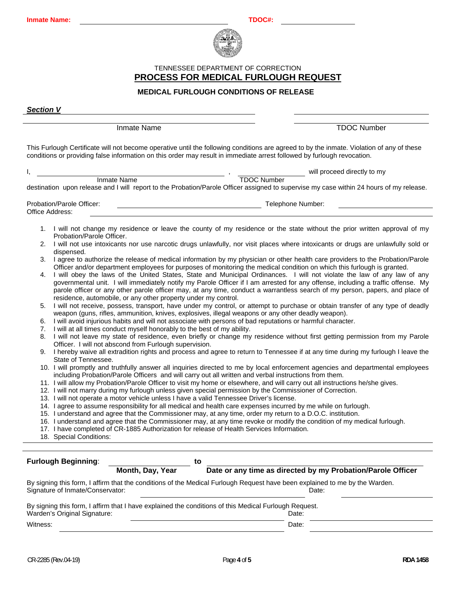

#### **MEDICAL FURLOUGH CONDITIONS OF RELEASE**

*Section V*

Inmate Name TDOC Number

This Furlough Certificate will not become operative until the following conditions are agreed to by the inmate. Violation of any of these conditions or providing false information on this order may result in immediate arrest followed by furlough revocation.

|                                                                                                                                                                                             |                                                                                                                                                                                                                                                                                                                                                                                                                                                               |                                                                                                                                                                                                                                      | will proceed directly to my                                                                                                                                                                                                                               |  |  |
|---------------------------------------------------------------------------------------------------------------------------------------------------------------------------------------------|---------------------------------------------------------------------------------------------------------------------------------------------------------------------------------------------------------------------------------------------------------------------------------------------------------------------------------------------------------------------------------------------------------------------------------------------------------------|--------------------------------------------------------------------------------------------------------------------------------------------------------------------------------------------------------------------------------------|-----------------------------------------------------------------------------------------------------------------------------------------------------------------------------------------------------------------------------------------------------------|--|--|
|                                                                                                                                                                                             |                                                                                                                                                                                                                                                                                                                                                                                                                                                               | Inmate Name                                                                                                                                                                                                                          | <b>TDOC Number</b>                                                                                                                                                                                                                                        |  |  |
|                                                                                                                                                                                             |                                                                                                                                                                                                                                                                                                                                                                                                                                                               |                                                                                                                                                                                                                                      | destination upon release and I will report to the Probation/Parole Officer assigned to supervise my case within 24 hours of my release.                                                                                                                   |  |  |
|                                                                                                                                                                                             |                                                                                                                                                                                                                                                                                                                                                                                                                                                               |                                                                                                                                                                                                                                      |                                                                                                                                                                                                                                                           |  |  |
| Office Address:                                                                                                                                                                             | Probation/Parole Officer:                                                                                                                                                                                                                                                                                                                                                                                                                                     |                                                                                                                                                                                                                                      | Telephone Number:                                                                                                                                                                                                                                         |  |  |
|                                                                                                                                                                                             |                                                                                                                                                                                                                                                                                                                                                                                                                                                               |                                                                                                                                                                                                                                      |                                                                                                                                                                                                                                                           |  |  |
|                                                                                                                                                                                             | Probation/Parole Officer.                                                                                                                                                                                                                                                                                                                                                                                                                                     |                                                                                                                                                                                                                                      | 1. I will not change my residence or leave the county of my residence or the state without the prior written approval of my                                                                                                                               |  |  |
| 2.                                                                                                                                                                                          | dispensed.                                                                                                                                                                                                                                                                                                                                                                                                                                                    |                                                                                                                                                                                                                                      | I will not use intoxicants nor use narcotic drugs unlawfully, nor visit places where intoxicants or drugs are unlawfully sold or                                                                                                                          |  |  |
| 3.                                                                                                                                                                                          |                                                                                                                                                                                                                                                                                                                                                                                                                                                               |                                                                                                                                                                                                                                      | I agree to authorize the release of medical information by my physician or other health care providers to the Probation/Parole<br>Officer and/or department employees for purposes of monitoring the medical condition on which this furlough is granted. |  |  |
| 4.                                                                                                                                                                                          | I will obey the laws of the United States, State and Municipal Ordinances. I will not violate the law of any law of any<br>governmental unit. I will immediately notify my Parole Officer if I am arrested for any offense, including a traffic offense. My<br>parole officer or any other parole officer may, at any time, conduct a warrantless search of my person, papers, and place of<br>residence, automobile, or any other property under my control. |                                                                                                                                                                                                                                      |                                                                                                                                                                                                                                                           |  |  |
| 5.                                                                                                                                                                                          |                                                                                                                                                                                                                                                                                                                                                                                                                                                               | I will not receive, possess, transport, have under my control, or attempt to purchase or obtain transfer of any type of deadly<br>weapon (guns, rifles, ammunition, knives, explosives, illegal weapons or any other deadly weapon). |                                                                                                                                                                                                                                                           |  |  |
| 6.                                                                                                                                                                                          |                                                                                                                                                                                                                                                                                                                                                                                                                                                               |                                                                                                                                                                                                                                      | I will avoid injurious habits and will not associate with persons of bad reputations or harmful character.                                                                                                                                                |  |  |
| 7.                                                                                                                                                                                          |                                                                                                                                                                                                                                                                                                                                                                                                                                                               | I will at all times conduct myself honorably to the best of my ability.                                                                                                                                                              |                                                                                                                                                                                                                                                           |  |  |
| I will not leave my state of residence, even briefly or change my residence without first getting permission from my Parole<br>8.<br>Officer. I will not abscond from Furlough supervision. |                                                                                                                                                                                                                                                                                                                                                                                                                                                               |                                                                                                                                                                                                                                      |                                                                                                                                                                                                                                                           |  |  |
| I hereby waive all extradition rights and process and agree to return to Tennessee if at any time during my furlough I leave the<br>9.<br>State of Tennessee.                               |                                                                                                                                                                                                                                                                                                                                                                                                                                                               |                                                                                                                                                                                                                                      |                                                                                                                                                                                                                                                           |  |  |
|                                                                                                                                                                                             |                                                                                                                                                                                                                                                                                                                                                                                                                                                               |                                                                                                                                                                                                                                      | 10. I will promptly and truthfully answer all inquiries directed to me by local enforcement agencies and departmental employees<br>including Probation/Parole Officers and will carry out all written and verbal instructions from them.                  |  |  |
|                                                                                                                                                                                             |                                                                                                                                                                                                                                                                                                                                                                                                                                                               |                                                                                                                                                                                                                                      | 11. I will allow my Probation/Parole Officer to visit my home or elsewhere, and will carry out all instructions he/she gives.                                                                                                                             |  |  |
|                                                                                                                                                                                             |                                                                                                                                                                                                                                                                                                                                                                                                                                                               |                                                                                                                                                                                                                                      | 12. I will not marry during my furlough unless given special permission by the Commissioner of Correction.                                                                                                                                                |  |  |
|                                                                                                                                                                                             |                                                                                                                                                                                                                                                                                                                                                                                                                                                               |                                                                                                                                                                                                                                      | 13. I will not operate a motor vehicle unless I have a valid Tennessee Driver's license.                                                                                                                                                                  |  |  |
|                                                                                                                                                                                             |                                                                                                                                                                                                                                                                                                                                                                                                                                                               |                                                                                                                                                                                                                                      | 14. I agree to assume responsibility for all medical and health care expenses incurred by me while on furlough.                                                                                                                                           |  |  |
|                                                                                                                                                                                             | 15. I understand and agree that the Commissioner may, at any time, order my return to a D.O.C. institution.                                                                                                                                                                                                                                                                                                                                                   |                                                                                                                                                                                                                                      |                                                                                                                                                                                                                                                           |  |  |
|                                                                                                                                                                                             |                                                                                                                                                                                                                                                                                                                                                                                                                                                               |                                                                                                                                                                                                                                      | 16. I understand and agree that the Commissioner may, at any time revoke or modify the condition of my medical furlough.                                                                                                                                  |  |  |
| 17. I have completed of CR-1885 Authorization for release of Health Services Information.                                                                                                   |                                                                                                                                                                                                                                                                                                                                                                                                                                                               |                                                                                                                                                                                                                                      |                                                                                                                                                                                                                                                           |  |  |
|                                                                                                                                                                                             | 18. Special Conditions:                                                                                                                                                                                                                                                                                                                                                                                                                                       |                                                                                                                                                                                                                                      |                                                                                                                                                                                                                                                           |  |  |
|                                                                                                                                                                                             |                                                                                                                                                                                                                                                                                                                                                                                                                                                               |                                                                                                                                                                                                                                      |                                                                                                                                                                                                                                                           |  |  |
|                                                                                                                                                                                             | <b>Furlough Beginning:</b>                                                                                                                                                                                                                                                                                                                                                                                                                                    |                                                                                                                                                                                                                                      | to                                                                                                                                                                                                                                                        |  |  |
|                                                                                                                                                                                             |                                                                                                                                                                                                                                                                                                                                                                                                                                                               | Month, Day, Year                                                                                                                                                                                                                     | Date or any time as directed by my Probation/Parole Officer                                                                                                                                                                                               |  |  |
|                                                                                                                                                                                             |                                                                                                                                                                                                                                                                                                                                                                                                                                                               |                                                                                                                                                                                                                                      |                                                                                                                                                                                                                                                           |  |  |
|                                                                                                                                                                                             | Signature of Inmate/Conservator:                                                                                                                                                                                                                                                                                                                                                                                                                              |                                                                                                                                                                                                                                      | By signing this form, I affirm that the conditions of the Medical Furlough Request have been explained to me by the Warden.<br>Date:                                                                                                                      |  |  |
|                                                                                                                                                                                             |                                                                                                                                                                                                                                                                                                                                                                                                                                                               |                                                                                                                                                                                                                                      | By signing this form, I affirm that I have explained the conditions of this Medical Furlough Request.                                                                                                                                                     |  |  |
|                                                                                                                                                                                             | Warden's Original Signature:<br>Date:                                                                                                                                                                                                                                                                                                                                                                                                                         |                                                                                                                                                                                                                                      |                                                                                                                                                                                                                                                           |  |  |

Witness: Date: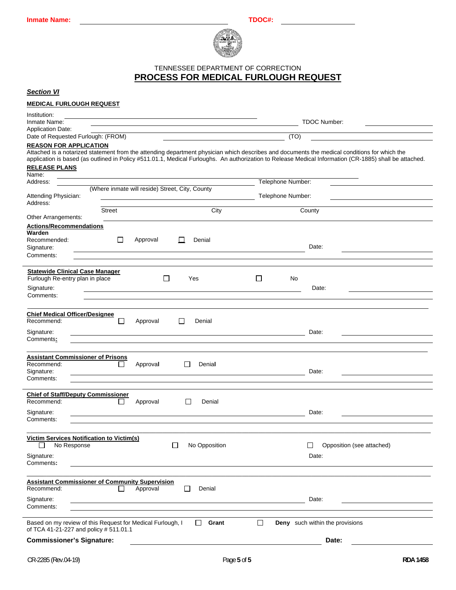

### *Section VI*

### **MEDICAL FURLOUGH REQUEST**

| Institution:<br><b>TDOC Number:</b><br>Inmate Name:                                                                                                                                                                                                                                                                            |                                     |  |  |  |  |
|--------------------------------------------------------------------------------------------------------------------------------------------------------------------------------------------------------------------------------------------------------------------------------------------------------------------------------|-------------------------------------|--|--|--|--|
| <b>Application Date:</b>                                                                                                                                                                                                                                                                                                       |                                     |  |  |  |  |
| Date of Requested Furlough: (FROM)<br>(TO)<br><b>REASON FOR APPLICATION</b>                                                                                                                                                                                                                                                    |                                     |  |  |  |  |
| Attached is a notarized statement from the attending department physician which describes and documents the medical conditions for which the<br>application is based (as outlined in Policy #511.01.1, Medical Furloughs. An authorization to Release Medical Information (CR-1885) shall be attached.<br><b>RELEASE PLANS</b> |                                     |  |  |  |  |
| Name:                                                                                                                                                                                                                                                                                                                          |                                     |  |  |  |  |
| Address:<br>(Where inmate will reside) Street, City, County                                                                                                                                                                                                                                                                    | Telephone Number:                   |  |  |  |  |
| Attending Physician:<br>Address:                                                                                                                                                                                                                                                                                               | Telephone Number:                   |  |  |  |  |
| City<br>Street<br>Other Arrangements:                                                                                                                                                                                                                                                                                          | County                              |  |  |  |  |
| Actions/Recommendations<br>Warden<br>□<br>Recommended:<br>Approval<br>$\mathbf{L}$<br>Denial                                                                                                                                                                                                                                   |                                     |  |  |  |  |
| Signature:<br>Comments:                                                                                                                                                                                                                                                                                                        | Date:                               |  |  |  |  |
| <b>Statewide Clinical Case Manager</b>                                                                                                                                                                                                                                                                                         |                                     |  |  |  |  |
| Furlough Re-entry plan in place<br>$\Box$<br>Yes<br>Signature:                                                                                                                                                                                                                                                                 | Ш<br>No<br>Date:                    |  |  |  |  |
| Comments:                                                                                                                                                                                                                                                                                                                      |                                     |  |  |  |  |
| <b>Chief Medical Officer/Designee</b><br>Recommend:<br>$\Box$<br>Approval<br>$\Box$<br>Denial<br>Signature:                                                                                                                                                                                                                    | Date:                               |  |  |  |  |
| and the control of the control of the control of the control of the control of the control of the control of the<br>Comments:<br><u> 1980 - Andrea Stadt Britain, amerikan bestean ingilang pada sebagai pada sebagai pada sebagai pada sebagai pa</u>                                                                         |                                     |  |  |  |  |
| <b>Assistant Commissioner of Prisons</b><br>Recommend:<br>Approval<br>Denial<br>$\Box$<br>$\perp$<br>Signature:<br>Comments:                                                                                                                                                                                                   | Date:                               |  |  |  |  |
| <b>Chief of Staff/Deputy Commissioner</b><br>Recommend:<br>Approval<br>$\perp$<br>Denial<br>$\mathbf{L}$                                                                                                                                                                                                                       |                                     |  |  |  |  |
| Signature:<br><u> 1989 - Johann Barbara, marka a shekara tsa 1989 - An tsa 1989 - An tsa 1989 - An tsa 1989 - An tsa 1989 - An</u><br>Comments:                                                                                                                                                                                | Date:                               |  |  |  |  |
|                                                                                                                                                                                                                                                                                                                                |                                     |  |  |  |  |
| <b>Victim Services Notification to Victim(s)</b><br>No Response<br>$\Box$<br>$\Box$<br>No Opposition                                                                                                                                                                                                                           | $\Box$<br>Opposition (see attached) |  |  |  |  |
| Signature:<br>Comments:                                                                                                                                                                                                                                                                                                        | Date:                               |  |  |  |  |
| <b>Assistant Commissioner of Community Supervision</b>                                                                                                                                                                                                                                                                         |                                     |  |  |  |  |
| Recommend:<br>Approval<br>П<br>Denial<br>ΙI<br>Signature:<br><u> 1989 - Andrea Andrew Maria (b. 1989)</u>                                                                                                                                                                                                                      | Date:                               |  |  |  |  |
| Comments:                                                                                                                                                                                                                                                                                                                      |                                     |  |  |  |  |
| □<br>Based on my review of this Request for Medical Furlough, I<br>Grant<br><b>Deny</b> such within the provisions<br>$\Box$<br>of TCA 41-21-227 and policy # 511.01.1                                                                                                                                                         |                                     |  |  |  |  |
| <b>Commissioner's Signature:</b>                                                                                                                                                                                                                                                                                               | Date:                               |  |  |  |  |